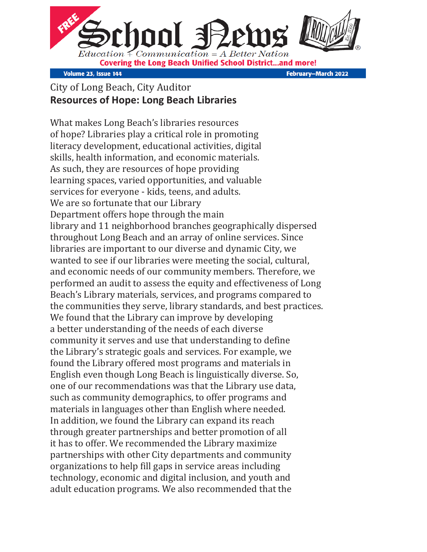

Volume 23, Issue 144

February-March 2022

## City of Long Beach, City Auditor **Resources of Hope: Long Beach Libraries**

What makes Long Beach's libraries resources of hope? Libraries play a critical role in promoting literacy development, educational activities, digital skills, health information, and economic materials. As such, they are resources of hope providing learning spaces, varied opportunities, and valuable services for everyone - kids, teens, and adults. We are so fortunate that our Library Department offers hope through the main library and 11 neighborhood branches geographically dispersed throughout Long Beach and an array of online services. Since libraries are important to our diverse and dynamic City, we wanted to see if our libraries were meeting the social, cultural, and economic needs of our community members. Therefore, we performed an audit to assess the equity and effectiveness of Long Beach's Library materials, services, and programs compared to the communities they serve, library standards, and best practices. We found that the Library can improve by developing a better understanding of the needs of each diverse community it serves and use that understanding to define the Library's strategic goals and services. For example, we found the Library offered most programs and materials in English even though Long Beach is linguistically diverse. So, one of our recommendations was that the Library use data, such as community demographics, to offer programs and materials in languages other than English where needed. In addition, we found the Library can expand its reach through greater partnerships and better promotion of all it has to offer. We recommended the Library maximize partnerships with other City departments and community organizations to help fill gaps in service areas including technology, economic and digital inclusion, and youth and adult education programs. We also recommended that the